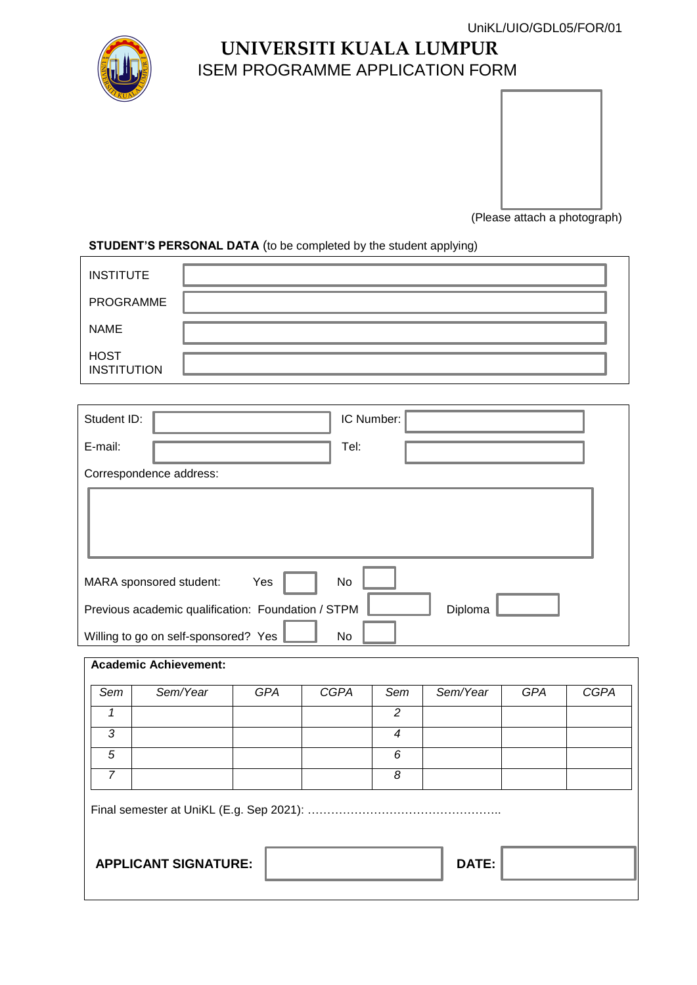

## **UNIVERSITI KUALA LUMPUR** ISEM PROGRAMME APPLICATION FORM



(Please attach a photograph)

#### **STUDENT'S PERSONAL DATA** (to be completed by the student applying)

| <b>INSTITUTE</b>                  |  |
|-----------------------------------|--|
| PROGRAMME                         |  |
| <b>NAME</b>                       |  |
| <b>HOST</b><br><b>INSTITUTION</b> |  |

| Student ID:<br>IC Number:                                     |  |  |  |  |  |
|---------------------------------------------------------------|--|--|--|--|--|
| Tel:<br>E-mail:                                               |  |  |  |  |  |
| Correspondence address:                                       |  |  |  |  |  |
|                                                               |  |  |  |  |  |
| MARA sponsored student:<br>Yes<br>No                          |  |  |  |  |  |
| Previous academic qualification: Foundation / STPM<br>Diploma |  |  |  |  |  |
| Willing to go on self-sponsored? Yes<br>No                    |  |  |  |  |  |

# **Academic Achievement:**

| Sem | Sem/Year                    | <b>GPA</b> | <b>CGPA</b> | Sem | Sem/Year | <b>GPA</b> | <b>CGPA</b> |
|-----|-----------------------------|------------|-------------|-----|----------|------------|-------------|
|     |                             |            |             | 2   |          |            |             |
| 3   |                             |            |             | 4   |          |            |             |
| 5   |                             |            |             | 6   |          |            |             |
| 7   |                             |            |             | 8   |          |            |             |
|     |                             |            |             |     |          |            |             |
|     | <b>APPLICANT SIGNATURE:</b> |            |             |     | DATE:    |            |             |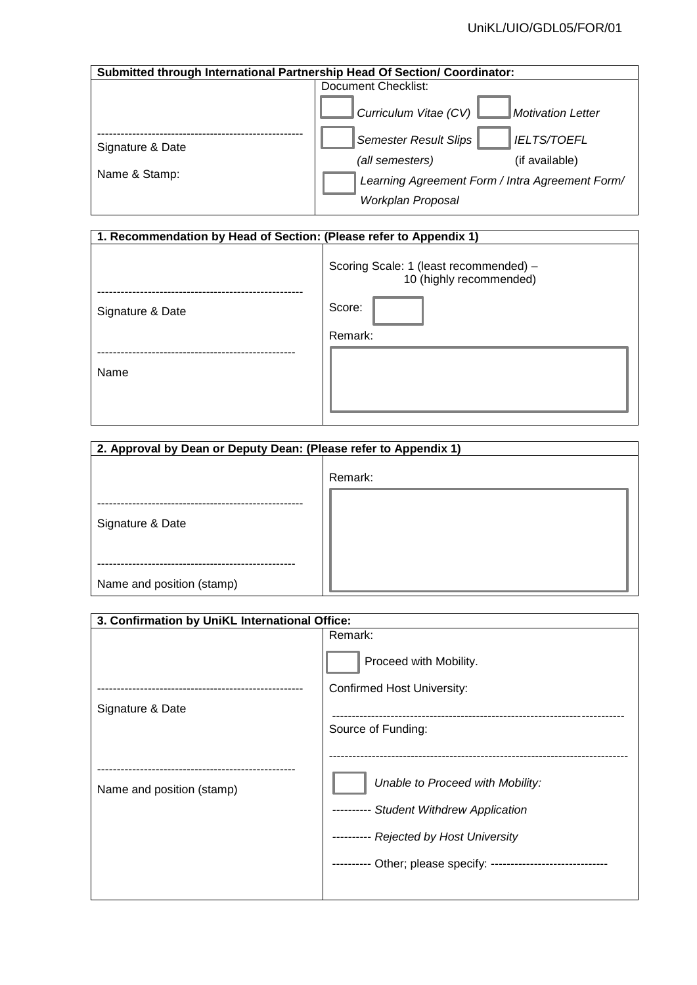| Submitted through International Partnership Head Of Section/ Coordinator: |                                                                                         |  |  |
|---------------------------------------------------------------------------|-----------------------------------------------------------------------------------------|--|--|
|                                                                           | Document Checklist:                                                                     |  |  |
|                                                                           | Curriculum Vitae (CV)<br><b>Motivation Letter</b>                                       |  |  |
| Signature & Date                                                          | <b>Semester Result Slips</b><br><b>IELTS/TOEFL</b><br>(all semesters)<br>(if available) |  |  |
| Name & Stamp:                                                             | Learning Agreement Form / Intra Agreement Form/<br>Workplan Proposal                    |  |  |

| 1. Recommendation by Head of Section: (Please refer to Appendix 1) |                                                                   |  |  |
|--------------------------------------------------------------------|-------------------------------------------------------------------|--|--|
|                                                                    | Scoring Scale: 1 (least recommended) -<br>10 (highly recommended) |  |  |
| Signature & Date                                                   | Score:                                                            |  |  |
|                                                                    | Remark:                                                           |  |  |
| Name                                                               |                                                                   |  |  |

| 2. Approval by Dean or Deputy Dean: (Please refer to Appendix 1) |         |  |  |
|------------------------------------------------------------------|---------|--|--|
| Signature & Date                                                 | Remark: |  |  |
| Name and position (stamp)                                        |         |  |  |

| 3. Confirmation by UniKL International Office: |                                                |  |  |
|------------------------------------------------|------------------------------------------------|--|--|
|                                                | Remark:                                        |  |  |
|                                                | Proceed with Mobility.                         |  |  |
|                                                | <b>Confirmed Host University:</b>              |  |  |
| Signature & Date                               |                                                |  |  |
|                                                | Source of Funding:                             |  |  |
|                                                |                                                |  |  |
| Name and position (stamp)                      | Unable to Proceed with Mobility:               |  |  |
|                                                | -- Student Withdrew Application                |  |  |
|                                                | ---------- Rejected by Host University         |  |  |
|                                                | ---------- Other; please specify: ------------ |  |  |
|                                                |                                                |  |  |